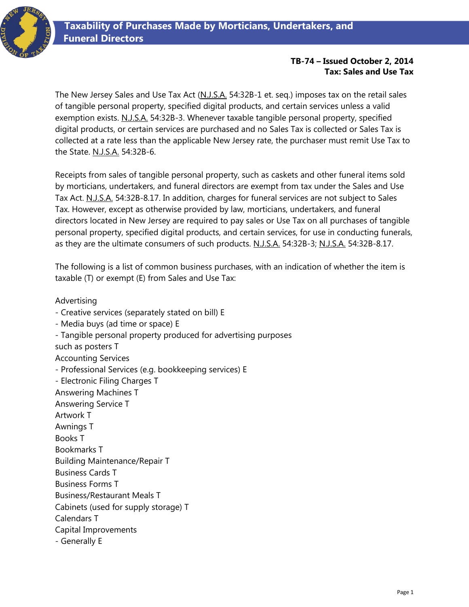

## **TB-74 – Issued October 2, 2014 Tax: Sales and Use Tax**

The New Jersey Sales and Use Tax Act (N.J.S.A. 54:32B-1 et. seq.) imposes tax on the retail sales of tangible personal property, specified digital products, and certain services unless a valid exemption exists. N.J.S.A. 54:32B-3. Whenever taxable tangible personal property, specified digital products, or certain services are purchased and no Sales Tax is collected or Sales Tax is collected at a rate less than the applicable New Jersey rate, the purchaser must remit Use Tax to the State. N.J.S.A. 54:32B-6.

Receipts from sales of tangible personal property, such as caskets and other funeral items sold by morticians, undertakers, and funeral directors are exempt from tax under the Sales and Use Tax Act. N.J.S.A. 54:32B-8.17. In addition, charges for funeral services are not subject to Sales Tax. However, except as otherwise provided by law, morticians, undertakers, and funeral directors located in New Jersey are required to pay sales or Use Tax on all purchases of tangible personal property, specified digital products, and certain services, for use in conducting funerals, as they are the ultimate consumers of such products. N.J.S.A. 54:32B-3; N.J.S.A. 54:32B-8.17.

The following is a list of common business purchases, with an indication of whether the item is taxable (T) or exempt (E) from Sales and Use Tax:

Advertising

- Creative services (separately stated on bill) E - Media buys (ad time or space) E - Tangible personal property produced for advertising purposes such as posters T Accounting Services - Professional Services (e.g. bookkeeping services) E - Electronic Filing Charges T Answering Machines T Answering Service T Artwork T Awnings T Books T Bookmarks T Building Maintenance/Repair T Business Cards T

Business Forms T

Business/Restaurant Meals T

Cabinets (used for supply storage) T

Calendars T

Capital Improvements

- Generally E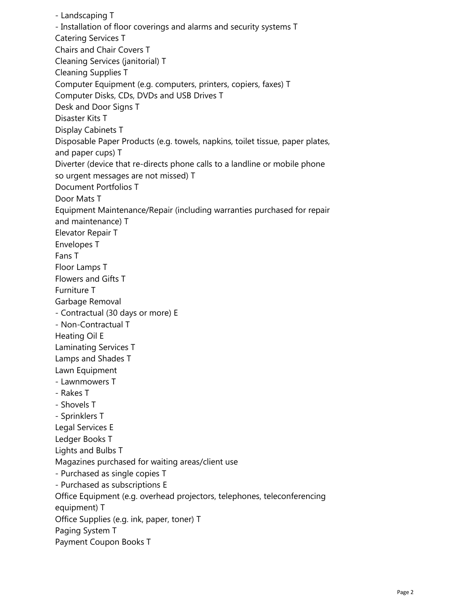- Landscaping T - Installation of floor coverings and alarms and security systems T Catering Services T Chairs and Chair Covers T Cleaning Services (janitorial) T Cleaning Supplies T Computer Equipment (e.g. computers, printers, copiers, faxes) T Computer Disks, CDs, DVDs and USB Drives T Desk and Door Signs T Disaster Kits T Display Cabinets T Disposable Paper Products (e.g. towels, napkins, toilet tissue, paper plates, and paper cups) T Diverter (device that re-directs phone calls to a landline or mobile phone so urgent messages are not missed) T Document Portfolios T Door Mats T Equipment Maintenance/Repair (including warranties purchased for repair and maintenance) T Elevator Repair T Envelopes T Fans T Floor Lamps T Flowers and Gifts T Furniture T Garbage Removal - Contractual (30 days or more) E - Non-Contractual T Heating Oil E Laminating Services T Lamps and Shades T Lawn Equipment - Lawnmowers T - Rakes T - Shovels T - Sprinklers T Legal Services E Ledger Books T Lights and Bulbs T Magazines purchased for waiting areas/client use - Purchased as single copies T - Purchased as subscriptions E Office Equipment (e.g. overhead projectors, telephones, teleconferencing equipment) T Office Supplies (e.g. ink, paper, toner) T Paging System T Payment Coupon Books T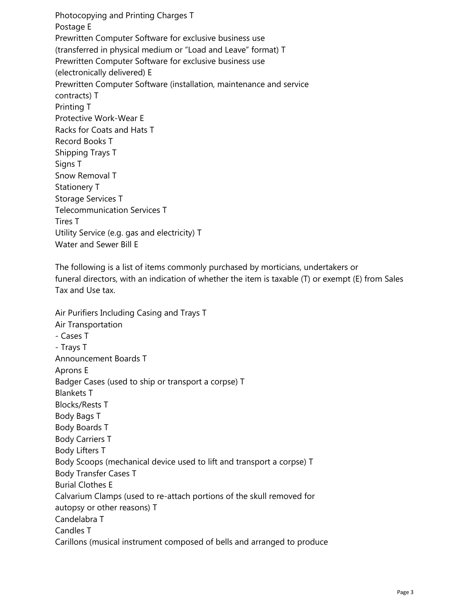Photocopying and Printing Charges T Postage E Prewritten Computer Software for exclusive business use (transferred in physical medium or "Load and Leave" format) T Prewritten Computer Software for exclusive business use (electronically delivered) E Prewritten Computer Software (installation, maintenance and service contracts) T Printing T Protective Work-Wear E Racks for Coats and Hats T Record Books T Shipping Trays T Signs T Snow Removal T Stationery T Storage Services T Telecommunication Services T Tires T Utility Service (e.g. gas and electricity) T Water and Sewer Bill E

The following is a list of items commonly purchased by morticians, undertakers or funeral directors, with an indication of whether the item is taxable (T) or exempt (E) from Sales Tax and Use tax.

Air Purifiers Including Casing and Trays T Air Transportation - Cases T - Trays T Announcement Boards T Aprons E Badger Cases (used to ship or transport a corpse) T Blankets T Blocks/Rests T Body Bags T Body Boards T Body Carriers T Body Lifters T Body Scoops (mechanical device used to lift and transport a corpse) T Body Transfer Cases T Burial Clothes E Calvarium Clamps (used to re-attach portions of the skull removed for autopsy or other reasons) T Candelabra T Candles T Carillons (musical instrument composed of bells and arranged to produce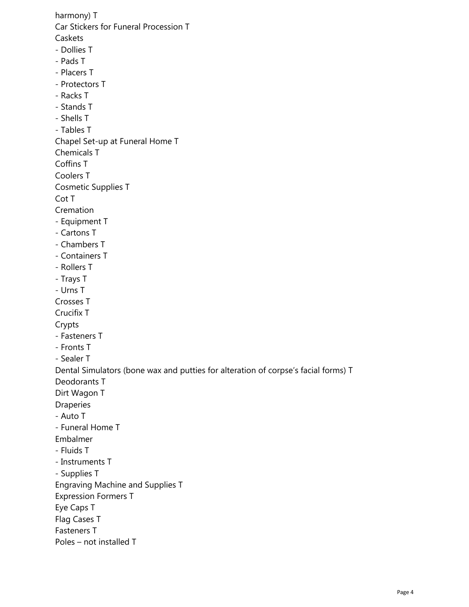harmony) T Car Stickers for Funeral Procession T Caskets - Dollies T - Pads T - Placers T - Protectors T - Racks T - Stands T - Shells T - Tables T Chapel Set-up at Funeral Home T Chemicals T Coffins T Coolers T Cosmetic Supplies T Cot T Cremation - Equipment T - Cartons T - Chambers T - Containers T - Rollers T - Trays T - Urns T Crosses T Crucifix T Crypts - Fasteners T - Fronts T - Sealer T Dental Simulators (bone wax and putties for alteration of corpse's facial forms) T Deodorants T Dirt Wagon T Draperies - Auto T - Funeral Home T Embalmer - Fluids T - Instruments T - Supplies T Engraving Machine and Supplies T Expression Formers T Eye Caps T Flag Cases T Fasteners T Poles – not installed T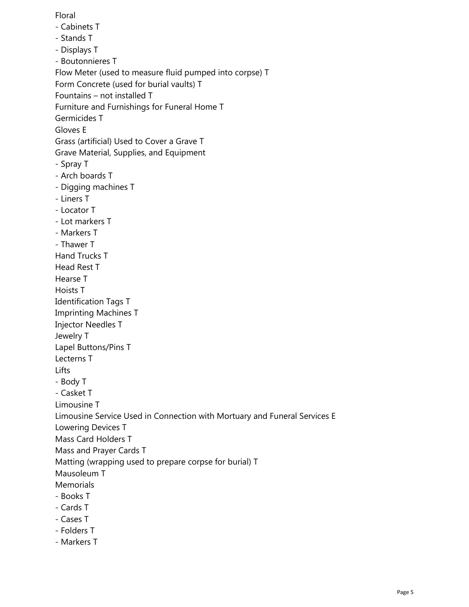Floral

- Cabinets T
- Stands T
- Displays T
- Boutonnieres T
- Flow Meter (used to measure fluid pumped into corpse) T
- Form Concrete (used for burial vaults) T
- Fountains not installed T
- Furniture and Furnishings for Funeral Home T
- Germicides T
- Gloves E
- Grass (artificial) Used to Cover a Grave T
- Grave Material, Supplies, and Equipment
- Spray T
- Arch boards T
- Digging machines T
- Liners T
- Locator T
- Lot markers T
- Markers T
- Thawer T
- Hand Trucks T
- Head Rest T
- Hearse T
- Hoists T
- Identification Tags T
- Imprinting Machines T
- Injector Needles T
- Jewelry T
- Lapel Buttons/Pins T
- Lecterns T
- Lifts
- Body T
- Casket T
- Limousine T
- Limousine Service Used in Connection with Mortuary and Funeral Services E
- Lowering Devices T
- Mass Card Holders T
- Mass and Prayer Cards T
- Matting (wrapping used to prepare corpse for burial) T
- Mausoleum T
- **Memorials**
- Books T
- Cards T
- Cases T
- Folders T
- Markers T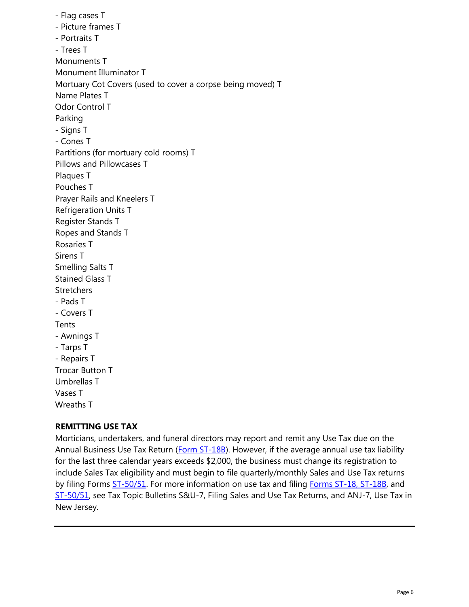- Flag cases T - Picture frames T - Portraits T - Trees T Monuments T Monument Illuminator T Mortuary Cot Covers (used to cover a corpse being moved) T Name Plates T Odor Control T Parking - Signs T - Cones T Partitions (for mortuary cold rooms) T Pillows and Pillowcases T Plaques T Pouches T Prayer Rails and Kneelers T Refrigeration Units T Register Stands T Ropes and Stands T Rosaries T Sirens T Smelling Salts T Stained Glass T **Stretchers** - Pads T - Covers T Tents - Awnings T - Tarps T - Repairs T Trocar Button T Umbrellas T Vases T Wreaths T

## **REMITTING USE TAX**

Morticians, undertakers, and funeral directors may report and remit any Use Tax due on the Annual Business Use Tax Return [\(Form ST-18B\)](http://www.state.nj.us/treasury/taxation/prntsale.shtml). However, if the average annual use tax liability for the last three calendar years exceeds \$2,000, the business must change its registration to include Sales Tax eligibility and must begin to file quarterly/monthly Sales and Use Tax returns by filing Forms [ST-50/51.](https://www1.state.nj.us/TYTR_BusinessFilings/jsp/common/Login.jsp?taxcode=55) For more information on use tax and filing [Forms ST-18, ST-18B,](http://www.state.nj.us/treasury/taxation/prntsale.shtml) and [ST-50/51,](https://www1.state.nj.us/TYTR_BusinessFilings/jsp/common/Login.jsp?taxcode=55) see Tax Topic Bulletins S&U-7, Filing Sales and Use Tax Returns, and ANJ-7, Use Tax in New Jersey.